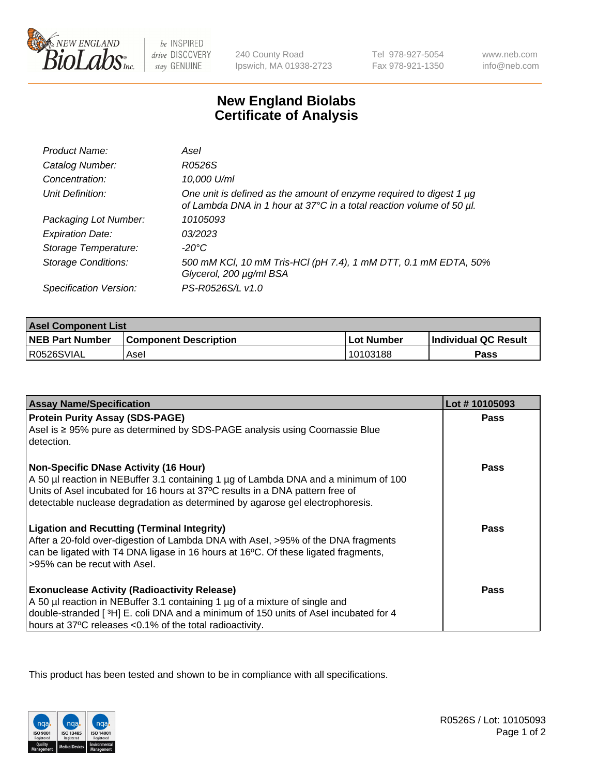

 $be$  INSPIRED drive DISCOVERY stay GENUINE

240 County Road Ipswich, MA 01938-2723 Tel 978-927-5054 Fax 978-921-1350

www.neb.com info@neb.com

## **New England Biolabs Certificate of Analysis**

| Product Name:              | Asel                                                                                                                                             |
|----------------------------|--------------------------------------------------------------------------------------------------------------------------------------------------|
| Catalog Number:            | R0526S                                                                                                                                           |
| Concentration:             | 10,000 U/ml                                                                                                                                      |
| Unit Definition:           | One unit is defined as the amount of enzyme required to digest 1 $\mu$ g<br>of Lambda DNA in 1 hour at 37°C in a total reaction volume of 50 µl. |
| Packaging Lot Number:      | 10105093                                                                                                                                         |
| <b>Expiration Date:</b>    | 0.3/202.3                                                                                                                                        |
| Storage Temperature:       | -20°C                                                                                                                                            |
| <b>Storage Conditions:</b> | 500 mM KCI, 10 mM Tris-HCI (pH 7.4), 1 mM DTT, 0.1 mM EDTA, 50%<br>Glycerol, 200 µg/ml BSA                                                       |
| Specification Version:     | PS-R0526S/L v1.0                                                                                                                                 |

| <b>Asel Component List</b> |                              |            |                      |  |
|----------------------------|------------------------------|------------|----------------------|--|
| <b>NEB Part Number</b>     | <b>Component Description</b> | Lot Number | Individual QC Result |  |
| R0526SVIAL                 | Asel                         | 10103188   | Pass                 |  |

| <b>Assay Name/Specification</b>                                                                                                                                                                                                                                                                       | Lot #10105093 |
|-------------------------------------------------------------------------------------------------------------------------------------------------------------------------------------------------------------------------------------------------------------------------------------------------------|---------------|
| <b>Protein Purity Assay (SDS-PAGE)</b>                                                                                                                                                                                                                                                                | <b>Pass</b>   |
| Asel is ≥ 95% pure as determined by SDS-PAGE analysis using Coomassie Blue<br>detection.                                                                                                                                                                                                              |               |
| <b>Non-Specific DNase Activity (16 Hour)</b><br>A 50 µl reaction in NEBuffer 3.1 containing 1 µg of Lambda DNA and a minimum of 100<br>Units of Asel incubated for 16 hours at 37°C results in a DNA pattern free of<br>detectable nuclease degradation as determined by agarose gel electrophoresis. | Pass          |
| <b>Ligation and Recutting (Terminal Integrity)</b><br>After a 20-fold over-digestion of Lambda DNA with Asel, >95% of the DNA fragments<br>can be ligated with T4 DNA ligase in 16 hours at 16°C. Of these ligated fragments,<br>>95% can be recut with Asel.                                         | Pass          |
| <b>Exonuclease Activity (Radioactivity Release)</b><br>A 50 µl reaction in NEBuffer 3.1 containing 1 µg of a mixture of single and<br>double-stranded [3H] E. coli DNA and a minimum of 150 units of Asel incubated for 4<br>hours at 37°C releases <0.1% of the total radioactivity.                 | Pass          |

This product has been tested and shown to be in compliance with all specifications.